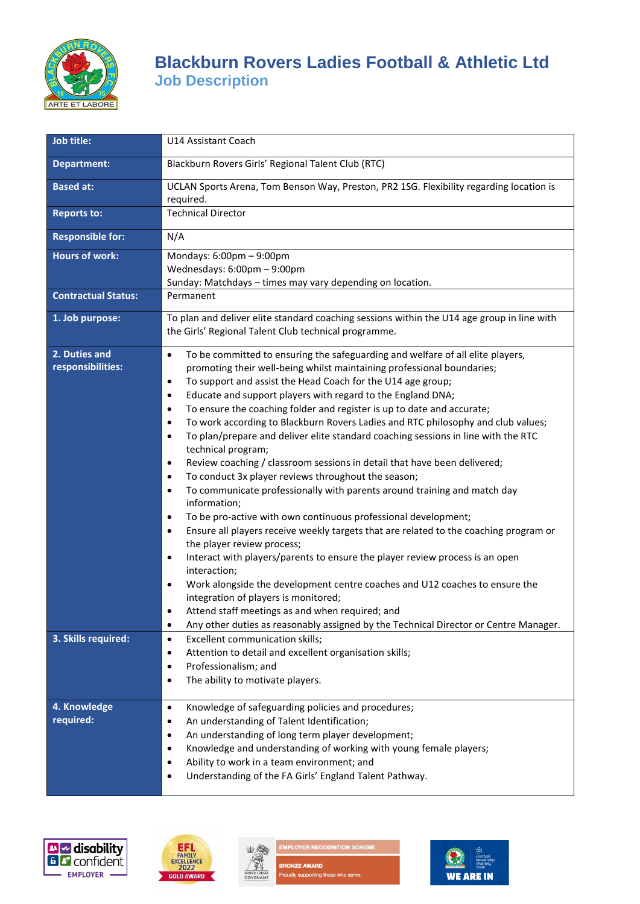

# **Blackburn Rovers Ladies Football & Athletic Ltd Job Description**

| Job title:                         | U14 Assistant Coach                                                                                                                                                                                                                                                                                                                                                                                                                                                                                                                                                                                                                                                                                                                                                                                                                                                                                                                                                                                                                                                                                                                                                                                                                                                                                                                                                                                                                                                                                                                             |
|------------------------------------|-------------------------------------------------------------------------------------------------------------------------------------------------------------------------------------------------------------------------------------------------------------------------------------------------------------------------------------------------------------------------------------------------------------------------------------------------------------------------------------------------------------------------------------------------------------------------------------------------------------------------------------------------------------------------------------------------------------------------------------------------------------------------------------------------------------------------------------------------------------------------------------------------------------------------------------------------------------------------------------------------------------------------------------------------------------------------------------------------------------------------------------------------------------------------------------------------------------------------------------------------------------------------------------------------------------------------------------------------------------------------------------------------------------------------------------------------------------------------------------------------------------------------------------------------|
| <b>Department:</b>                 | Blackburn Rovers Girls' Regional Talent Club (RTC)                                                                                                                                                                                                                                                                                                                                                                                                                                                                                                                                                                                                                                                                                                                                                                                                                                                                                                                                                                                                                                                                                                                                                                                                                                                                                                                                                                                                                                                                                              |
| <b>Based at:</b>                   | UCLAN Sports Arena, Tom Benson Way, Preston, PR2 1SG. Flexibility regarding location is<br>required.                                                                                                                                                                                                                                                                                                                                                                                                                                                                                                                                                                                                                                                                                                                                                                                                                                                                                                                                                                                                                                                                                                                                                                                                                                                                                                                                                                                                                                            |
| <b>Reports to:</b>                 | <b>Technical Director</b>                                                                                                                                                                                                                                                                                                                                                                                                                                                                                                                                                                                                                                                                                                                                                                                                                                                                                                                                                                                                                                                                                                                                                                                                                                                                                                                                                                                                                                                                                                                       |
| <b>Responsible for:</b>            | N/A                                                                                                                                                                                                                                                                                                                                                                                                                                                                                                                                                                                                                                                                                                                                                                                                                                                                                                                                                                                                                                                                                                                                                                                                                                                                                                                                                                                                                                                                                                                                             |
| <b>Hours of work:</b>              | Mondays: 6:00pm - 9:00pm<br>Wednesdays: 6:00pm - 9:00pm<br>Sunday: Matchdays - times may vary depending on location.                                                                                                                                                                                                                                                                                                                                                                                                                                                                                                                                                                                                                                                                                                                                                                                                                                                                                                                                                                                                                                                                                                                                                                                                                                                                                                                                                                                                                            |
| <b>Contractual Status:</b>         | Permanent                                                                                                                                                                                                                                                                                                                                                                                                                                                                                                                                                                                                                                                                                                                                                                                                                                                                                                                                                                                                                                                                                                                                                                                                                                                                                                                                                                                                                                                                                                                                       |
| 1. Job purpose:                    | To plan and deliver elite standard coaching sessions within the U14 age group in line with<br>the Girls' Regional Talent Club technical programme.                                                                                                                                                                                                                                                                                                                                                                                                                                                                                                                                                                                                                                                                                                                                                                                                                                                                                                                                                                                                                                                                                                                                                                                                                                                                                                                                                                                              |
| 2. Duties and<br>responsibilities: | To be committed to ensuring the safeguarding and welfare of all elite players,<br>$\bullet$<br>promoting their well-being whilst maintaining professional boundaries;<br>To support and assist the Head Coach for the U14 age group;<br>$\bullet$<br>Educate and support players with regard to the England DNA;<br>$\bullet$<br>To ensure the coaching folder and register is up to date and accurate;<br>$\bullet$<br>To work according to Blackburn Rovers Ladies and RTC philosophy and club values;<br>$\bullet$<br>To plan/prepare and deliver elite standard coaching sessions in line with the RTC<br>$\bullet$<br>technical program;<br>Review coaching / classroom sessions in detail that have been delivered;<br>$\bullet$<br>To conduct 3x player reviews throughout the season;<br>$\bullet$<br>To communicate professionally with parents around training and match day<br>$\bullet$<br>information;<br>To be pro-active with own continuous professional development;<br>$\bullet$<br>Ensure all players receive weekly targets that are related to the coaching program or<br>$\bullet$<br>the player review process;<br>Interact with players/parents to ensure the player review process is an open<br>$\bullet$<br>interaction;<br>Work alongside the development centre coaches and U12 coaches to ensure the<br>$\bullet$<br>integration of players is monitored;<br>Attend staff meetings as and when required; and<br>Any other duties as reasonably assigned by the Technical Director or Centre Manager.<br>$\bullet$ |
| 3. Skills required:                | Excellent communication skills;<br>$\bullet$<br>Attention to detail and excellent organisation skills;<br>$\bullet$<br>Professionalism; and<br>$\bullet$<br>The ability to motivate players.<br>$\bullet$                                                                                                                                                                                                                                                                                                                                                                                                                                                                                                                                                                                                                                                                                                                                                                                                                                                                                                                                                                                                                                                                                                                                                                                                                                                                                                                                       |
| 4. Knowledge<br>required:          | Knowledge of safeguarding policies and procedures;<br>$\bullet$<br>An understanding of Talent Identification;<br>$\bullet$<br>An understanding of long term player development;<br>٠<br>Knowledge and understanding of working with young female players;<br>٠<br>Ability to work in a team environment; and<br>$\bullet$<br>Understanding of the FA Girls' England Talent Pathway.<br>$\bullet$                                                                                                                                                                                                                                                                                                                                                                                                                                                                                                                                                                                                                                                                                                                                                                                                                                                                                                                                                                                                                                                                                                                                                |